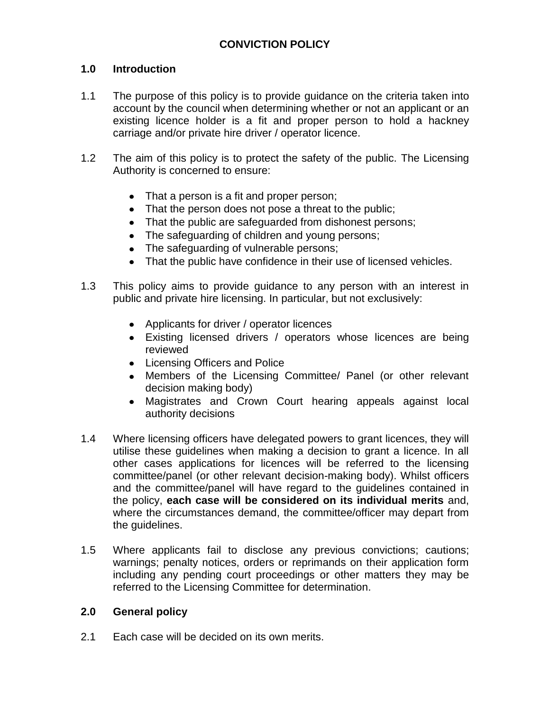## **1.0 Introduction**

- 1.1 The purpose of this policy is to provide guidance on the criteria taken into account by the council when determining whether or not an applicant or an existing licence holder is a fit and proper person to hold a hackney carriage and/or private hire driver / operator licence.
- 1.2 The aim of this policy is to protect the safety of the public. The Licensing Authority is concerned to ensure:
	- That a person is a fit and proper person;
	- That the person does not pose a threat to the public;
	- That the public are safeguarded from dishonest persons;
	- The safeguarding of children and young persons;
	- The safeguarding of vulnerable persons;
	- $\bullet$ That the public have confidence in their use of licensed vehicles.
- 1.3 This policy aims to provide guidance to any person with an interest in public and private hire licensing. In particular, but not exclusively:
	- Applicants for driver / operator licences
	- Existing licensed drivers / operators whose licences are being reviewed
	- Licensing Officers and Police
	- Members of the Licensing Committee/ Panel (or other relevant decision making body)
	- $\bullet$ Magistrates and Crown Court hearing appeals against local authority decisions
- 1.4 Where licensing officers have delegated powers to grant licences, they will utilise these guidelines when making a decision to grant a licence. In all other cases applications for licences will be referred to the licensing committee/panel (or other relevant decision-making body). Whilst officers and the committee/panel will have regard to the guidelines contained in the policy, **each case will be considered on its individual merits** and, where the circumstances demand, the committee/officer may depart from the guidelines.
- 1.5 Where applicants fail to disclose any previous convictions; cautions; warnings; penalty notices, orders or reprimands on their application form including any pending court proceedings or other matters they may be referred to the Licensing Committee for determination.

### **2.0 General policy**

2.1 Each case will be decided on its own merits.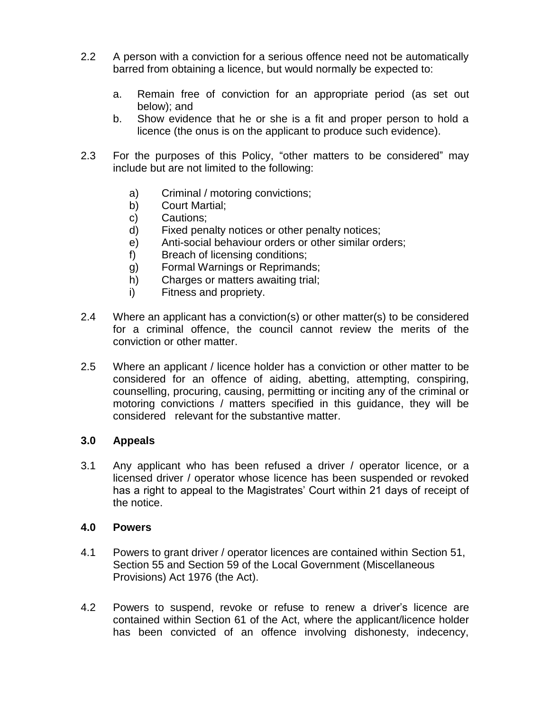- 2.2 A person with a conviction for a serious offence need not be automatically barred from obtaining a licence, but would normally be expected to:
	- a. Remain free of conviction for an appropriate period (as set out below); and
	- b. Show evidence that he or she is a fit and proper person to hold a licence (the onus is on the applicant to produce such evidence).
- 2.3 For the purposes of this Policy, "other matters to be considered" may include but are not limited to the following:
	- a) Criminal / motoring convictions;
	- b) Court Martial;
	- c) Cautions;
	- d) Fixed penalty notices or other penalty notices;
	- e) Anti-social behaviour orders or other similar orders;
	- f) Breach of licensing conditions;
	- g) Formal Warnings or Reprimands;
	- h) Charges or matters awaiting trial;
	- i) Fitness and propriety.
- 2.4 Where an applicant has a conviction(s) or other matter(s) to be considered for a criminal offence, the council cannot review the merits of the conviction or other matter.
- 2.5 Where an applicant / licence holder has a conviction or other matter to be considered for an offence of aiding, abetting, attempting, conspiring, counselling, procuring, causing, permitting or inciting any of the criminal or motoring convictions / matters specified in this guidance, they will be considered relevant for the substantive matter.

### **3.0 Appeals**

3.1 Any applicant who has been refused a driver / operator licence, or a licensed driver / operator whose licence has been suspended or revoked has a right to appeal to the Magistrates' Court within 21 days of receipt of the notice.

### **4.0 Powers**

- 4.1 Powers to grant driver / operator licences are contained within Section 51, Section 55 and Section 59 of the Local Government (Miscellaneous Provisions) Act 1976 (the Act).
- 4.2 Powers to suspend, revoke or refuse to renew a driver's licence are contained within Section 61 of the Act, where the applicant/licence holder has been convicted of an offence involving dishonesty, indecency,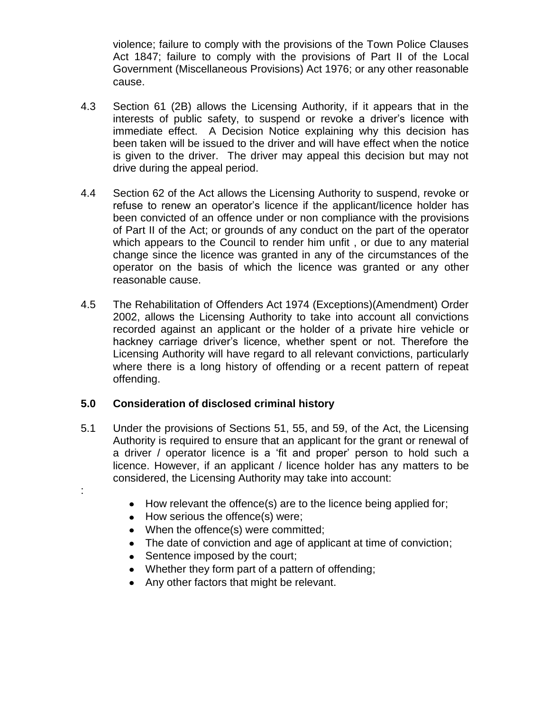violence; failure to comply with the provisions of the Town Police Clauses Act 1847; failure to comply with the provisions of Part II of the Local Government (Miscellaneous Provisions) Act 1976; or any other reasonable cause.

- 4.3 Section 61 (2B) allows the Licensing Authority, if it appears that in the interests of public safety, to suspend or revoke a driver's licence with immediate effect. A Decision Notice explaining why this decision has been taken will be issued to the driver and will have effect when the notice is given to the driver. The driver may appeal this decision but may not drive during the appeal period.
- 4.4 Section 62 of the Act allows the Licensing Authority to suspend, revoke or refuse to renew an operator's licence if the applicant/licence holder has been convicted of an offence under or non compliance with the provisions of Part II of the Act; or grounds of any conduct on the part of the operator which appears to the Council to render him unfit , or due to any material change since the licence was granted in any of the circumstances of the operator on the basis of which the licence was granted or any other reasonable cause.
- 4.5 The Rehabilitation of Offenders Act 1974 (Exceptions)(Amendment) Order 2002, allows the Licensing Authority to take into account all convictions recorded against an applicant or the holder of a private hire vehicle or hackney carriage driver's licence, whether spent or not. Therefore the Licensing Authority will have regard to all relevant convictions, particularly where there is a long history of offending or a recent pattern of repeat offending.

### **5.0 Consideration of disclosed criminal history**

- 5.1 Under the provisions of Sections 51, 55, and 59, of the Act, the Licensing Authority is required to ensure that an applicant for the grant or renewal of a driver / operator licence is a 'fit and proper' person to hold such a licence. However, if an applicant / licence holder has any matters to be considered, the Licensing Authority may take into account:
	- How relevant the offence(s) are to the licence being applied for;
	- How serious the offence(s) were;

:

- When the offence(s) were committed;
- The date of conviction and age of applicant at time of conviction;
- Sentence imposed by the court;
- Whether they form part of a pattern of offending;
- Any other factors that might be relevant.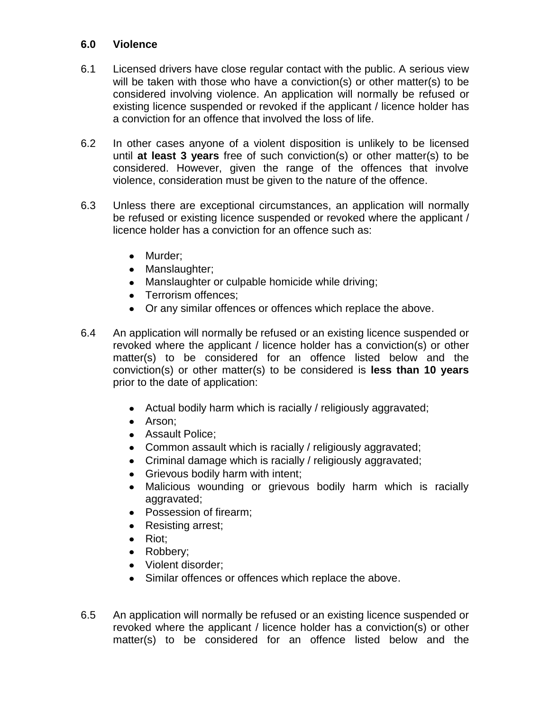## **6.0 Violence**

- 6.1 Licensed drivers have close regular contact with the public. A serious view will be taken with those who have a conviction(s) or other matter(s) to be considered involving violence. An application will normally be refused or existing licence suspended or revoked if the applicant / licence holder has a conviction for an offence that involved the loss of life.
- 6.2 In other cases anyone of a violent disposition is unlikely to be licensed until **at least 3 years** free of such conviction(s) or other matter(s) to be considered. However, given the range of the offences that involve violence, consideration must be given to the nature of the offence.
- 6.3 Unless there are exceptional circumstances, an application will normally be refused or existing licence suspended or revoked where the applicant / licence holder has a conviction for an offence such as:
	- Murder;
	- Manslaughter;
	- Manslaughter or culpable homicide while driving;
	- Terrorism offences:
	- Or any similar offences or offences which replace the above.
- 6.4 An application will normally be refused or an existing licence suspended or revoked where the applicant / licence holder has a conviction(s) or other matter(s) to be considered for an offence listed below and the conviction(s) or other matter(s) to be considered is **less than 10 years** prior to the date of application:
	- Actual bodily harm which is racially / religiously aggravated;
	- Arson:
	- Assault Police;
	- Common assault which is racially / religiously aggravated;
	- Criminal damage which is racially / religiously aggravated;
	- Grievous bodily harm with intent;
	- Malicious wounding or grievous bodily harm which is racially aggravated;
	- Possession of firearm;  $\bullet$
	- Resisting arrest;
	- Riot:
	- Robbery;
	- Violent disorder:
	- Similar offences or offences which replace the above.
- 6.5 An application will normally be refused or an existing licence suspended or revoked where the applicant / licence holder has a conviction(s) or other matter(s) to be considered for an offence listed below and the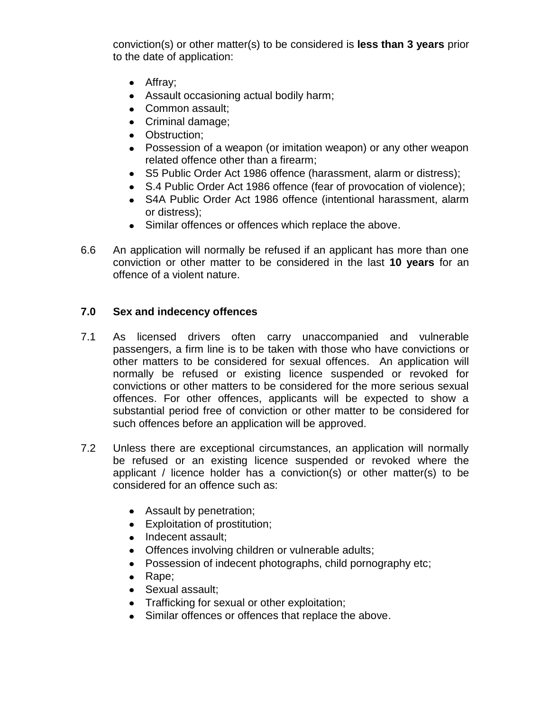conviction(s) or other matter(s) to be considered is **less than 3 years** prior to the date of application:

- Affray;
- Assault occasioning actual bodily harm;
- Common assault;
- Criminal damage:
- Obstruction;
- Possession of a weapon (or imitation weapon) or any other weapon related offence other than a firearm;
- S5 Public Order Act 1986 offence (harassment, alarm or distress);
- S.4 Public Order Act 1986 offence (fear of provocation of violence);
- S4A Public Order Act 1986 offence (intentional harassment, alarm or distress);
- Similar offences or offences which replace the above.
- 6.6 An application will normally be refused if an applicant has more than one conviction or other matter to be considered in the last **10 years** for an offence of a violent nature.

# **7.0 Sex and indecency offences**

- 7.1 As licensed drivers often carry unaccompanied and vulnerable passengers, a firm line is to be taken with those who have convictions or other matters to be considered for sexual offences. An application will normally be refused or existing licence suspended or revoked for convictions or other matters to be considered for the more serious sexual offences. For other offences, applicants will be expected to show a substantial period free of conviction or other matter to be considered for such offences before an application will be approved.
- 7.2 Unless there are exceptional circumstances, an application will normally be refused or an existing licence suspended or revoked where the applicant / licence holder has a conviction(s) or other matter(s) to be considered for an offence such as:
	- Assault by penetration;
	- Exploitation of prostitution;
	- Indecent assault;
	- Offences involving children or vulnerable adults;
	- Possession of indecent photographs, child pornography etc;
	- $\bullet$  Rape;
	- Sexual assault;
	- Trafficking for sexual or other exploitation;
	- Similar offences or offences that replace the above.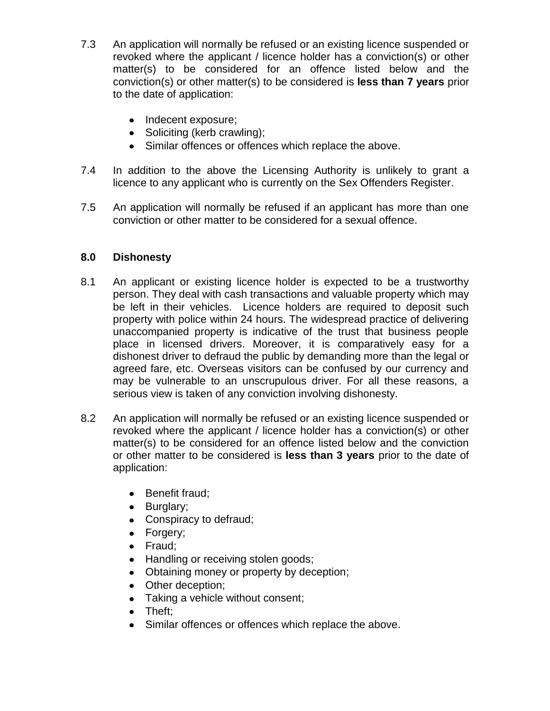- 7.3 An application will normally be refused or an existing licence suspended or revoked where the applicant / licence holder has a conviction(s) or other matter(s) to be considered for an offence listed below and the conviction(s) or other matter(s) to be considered is **less than 7 years** prior to the date of application:
	- Indecent exposure;
	- Soliciting (kerb crawling);
	- Similar offences or offences which replace the above.
- 7.4 In addition to the above the Licensing Authority is unlikely to grant a licence to any applicant who is currently on the Sex Offenders Register.
- 7.5 An application will normally be refused if an applicant has more than one conviction or other matter to be considered for a sexual offence.

# **8.0 Dishonesty**

- 8.1 An applicant or existing licence holder is expected to be a trustworthy person. They deal with cash transactions and valuable property which may be left in their vehicles. Licence holders are required to deposit such property with police within 24 hours. The widespread practice of delivering unaccompanied property is indicative of the trust that business people place in licensed drivers. Moreover, it is comparatively easy for a dishonest driver to defraud the public by demanding more than the legal or agreed fare, etc. Overseas visitors can be confused by our currency and may be vulnerable to an unscrupulous driver. For all these reasons, a serious view is taken of any conviction involving dishonesty.
- 8.2 An application will normally be refused or an existing licence suspended or revoked where the applicant / licence holder has a conviction(s) or other matter(s) to be considered for an offence listed below and the conviction or other matter to be considered is **less than 3 years** prior to the date of application:
	- Benefit fraud;
	- Burglary;
	- Conspiracy to defraud;
	- Forgery;
	- Fraud;
	- Handling or receiving stolen goods;
	- Obtaining money or property by deception;
	- Other deception;
	- Taking a vehicle without consent;
	- Theft;
	- Similar offences or offences which replace the above.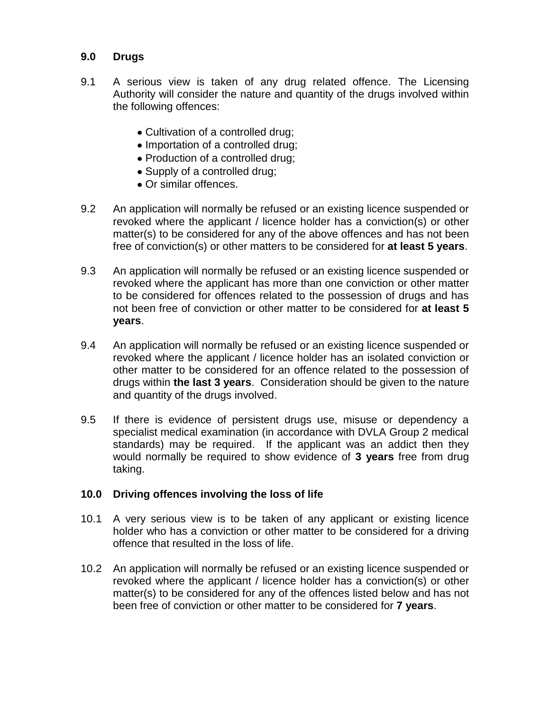## **9.0 Drugs**

- 9.1 A serious view is taken of any drug related offence. The Licensing Authority will consider the nature and quantity of the drugs involved within the following offences:
	- Cultivation of a controlled drug;
	- Importation of a controlled drug;
	- Production of a controlled drug;
	- Supply of a controlled drug;
	- Or similar offences.
- 9.2 An application will normally be refused or an existing licence suspended or revoked where the applicant / licence holder has a conviction(s) or other matter(s) to be considered for any of the above offences and has not been free of conviction(s) or other matters to be considered for **at least 5 years**.
- 9.3 An application will normally be refused or an existing licence suspended or revoked where the applicant has more than one conviction or other matter to be considered for offences related to the possession of drugs and has not been free of conviction or other matter to be considered for **at least 5 years**.
- 9.4 An application will normally be refused or an existing licence suspended or revoked where the applicant / licence holder has an isolated conviction or other matter to be considered for an offence related to the possession of drugs within **the last 3 years**. Consideration should be given to the nature and quantity of the drugs involved.
- 9.5 If there is evidence of persistent drugs use, misuse or dependency a specialist medical examination (in accordance with DVLA Group 2 medical standards) may be required. If the applicant was an addict then they would normally be required to show evidence of **3 years** free from drug taking.

### **10.0 Driving offences involving the loss of life**

- 10.1 A very serious view is to be taken of any applicant or existing licence holder who has a conviction or other matter to be considered for a driving offence that resulted in the loss of life.
- 10.2 An application will normally be refused or an existing licence suspended or revoked where the applicant / licence holder has a conviction(s) or other matter(s) to be considered for any of the offences listed below and has not been free of conviction or other matter to be considered for **7 years**.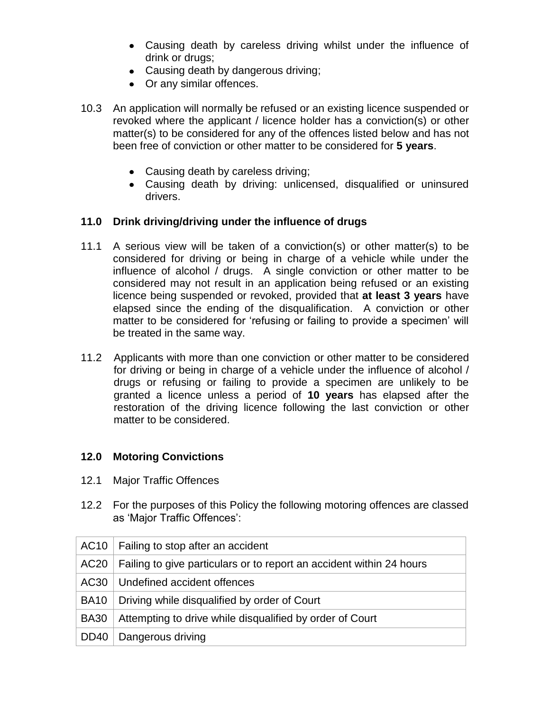- Causing death by careless driving whilst under the influence of drink or drugs;
- Causing death by dangerous driving;
- Or any similar offences.
- 10.3 An application will normally be refused or an existing licence suspended or revoked where the applicant / licence holder has a conviction(s) or other matter(s) to be considered for any of the offences listed below and has not been free of conviction or other matter to be considered for **5 years**.
	- Causing death by careless driving;
	- Causing death by driving: unlicensed, disqualified or uninsured drivers.

## **11.0 Drink driving/driving under the influence of drugs**

- 11.1 A serious view will be taken of a conviction(s) or other matter(s) to be considered for driving or being in charge of a vehicle while under the influence of alcohol / drugs. A single conviction or other matter to be considered may not result in an application being refused or an existing licence being suspended or revoked, provided that **at least 3 years** have elapsed since the ending of the disqualification. A conviction or other matter to be considered for 'refusing or failing to provide a specimen' will be treated in the same way.
- 11.2 Applicants with more than one conviction or other matter to be considered for driving or being in charge of a vehicle under the influence of alcohol / drugs or refusing or failing to provide a specimen are unlikely to be granted a licence unless a period of **10 years** has elapsed after the restoration of the driving licence following the last conviction or other matter to be considered.

### **12.0 Motoring Convictions**

- 12.1 Major Traffic Offences
- 12.2 For the purposes of this Policy the following motoring offences are classed as 'Major Traffic Offences':

|                  | $AC10$   Failing to stop after an accident                           |
|------------------|----------------------------------------------------------------------|
| AC20             | Failing to give particulars or to report an accident within 24 hours |
|                  | AC30   Undefined accident offences                                   |
| <b>BA10</b>      | Driving while disqualified by order of Court                         |
| <b>BA30</b>      | Attempting to drive while disqualified by order of Court             |
| DD <sub>40</sub> | Dangerous driving                                                    |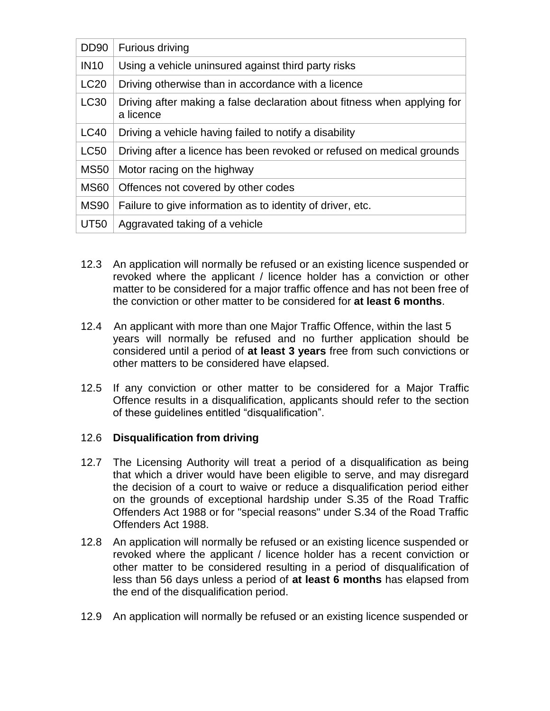| <b>DD90</b> | Furious driving                                                                       |
|-------------|---------------------------------------------------------------------------------------|
| <b>IN10</b> | Using a vehicle uninsured against third party risks                                   |
| <b>LC20</b> | Driving otherwise than in accordance with a licence                                   |
| LC30        | Driving after making a false declaration about fitness when applying for<br>a licence |
| <b>LC40</b> | Driving a vehicle having failed to notify a disability                                |
| <b>LC50</b> | Driving after a licence has been revoked or refused on medical grounds                |
| <b>MS50</b> | Motor racing on the highway                                                           |
| <b>MS60</b> | Offences not covered by other codes                                                   |
| <b>MS90</b> | Failure to give information as to identity of driver, etc.                            |
| <b>UT50</b> | Aggravated taking of a vehicle                                                        |

- 12.3 An application will normally be refused or an existing licence suspended or revoked where the applicant / licence holder has a conviction or other matter to be considered for a major traffic offence and has not been free of the conviction or other matter to be considered for **at least 6 months**.
- 12.4 An applicant with more than one Major Traffic Offence, within the last 5 years will normally be refused and no further application should be considered until a period of **at least 3 years** free from such convictions or other matters to be considered have elapsed.
- 12.5 If any conviction or other matter to be considered for a Major Traffic Offence results in a disqualification, applicants should refer to the section of these guidelines entitled "disqualification".

### 12.6 **Disqualification from driving**

- 12.7 The Licensing Authority will treat a period of a disqualification as being that which a driver would have been eligible to serve, and may disregard the decision of a court to waive or reduce a disqualification period either on the grounds of exceptional hardship under S.35 of the Road Traffic Offenders Act 1988 or for "special reasons" under S.34 of the Road Traffic Offenders Act 1988.
- 12.8 An application will normally be refused or an existing licence suspended or revoked where the applicant / licence holder has a recent conviction or other matter to be considered resulting in a period of disqualification of less than 56 days unless a period of **at least 6 months** has elapsed from the end of the disqualification period.
- 12.9 An application will normally be refused or an existing licence suspended or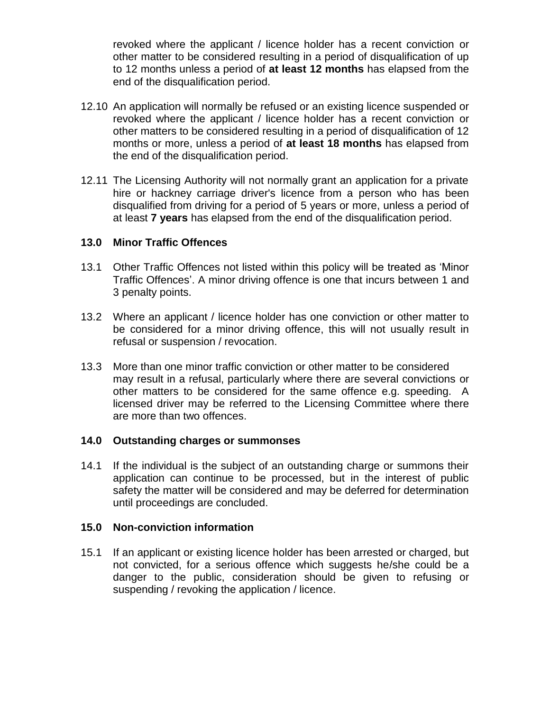revoked where the applicant / licence holder has a recent conviction or other matter to be considered resulting in a period of disqualification of up to 12 months unless a period of **at least 12 months** has elapsed from the end of the disqualification period.

- 12.10 An application will normally be refused or an existing licence suspended or revoked where the applicant / licence holder has a recent conviction or other matters to be considered resulting in a period of disqualification of 12 months or more, unless a period of **at least 18 months** has elapsed from the end of the disqualification period.
- 12.11 The Licensing Authority will not normally grant an application for a private hire or hackney carriage driver's licence from a person who has been disqualified from driving for a period of 5 years or more, unless a period of at least **7 years** has elapsed from the end of the disqualification period.

#### **13.0 Minor Traffic Offences**

- 13.1 Other Traffic Offences not listed within this policy will be treated as 'Minor Traffic Offences'. A minor driving offence is one that incurs between 1 and 3 penalty points.
- 13.2 Where an applicant / licence holder has one conviction or other matter to be considered for a minor driving offence, this will not usually result in refusal or suspension / revocation.
- 13.3 More than one minor traffic conviction or other matter to be considered may result in a refusal, particularly where there are several convictions or other matters to be considered for the same offence e.g. speeding. A licensed driver may be referred to the Licensing Committee where there are more than two offences.

### **14.0 Outstanding charges or summonses**

14.1 If the individual is the subject of an outstanding charge or summons their application can continue to be processed, but in the interest of public safety the matter will be considered and may be deferred for determination until proceedings are concluded.

#### **15.0 Non-conviction information**

15.1 If an applicant or existing licence holder has been arrested or charged, but not convicted, for a serious offence which suggests he/she could be a danger to the public, consideration should be given to refusing or suspending / revoking the application / licence.